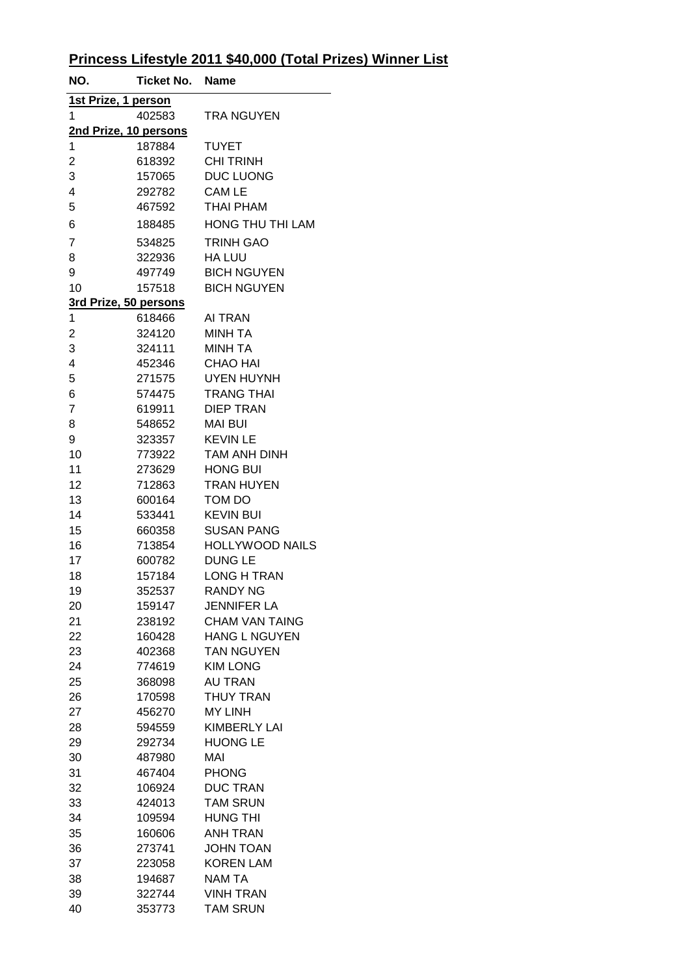## **Princess Lifestyle 2011 \$40,000 (Total Prizes) Winner List**

| NO.                   | <b>Ticket No. Name</b> |                        |
|-----------------------|------------------------|------------------------|
| 1st Prize, 1 person   |                        |                        |
| 1                     | 402583                 | <b>TRA NGUYEN</b>      |
| 2nd Prize, 10 persons |                        |                        |
| 1                     | 187884                 | <b>TUYET</b>           |
| 2                     | 618392                 | <b>CHI TRINH</b>       |
| 3                     | 157065                 | DUC LUONG              |
| 4                     | 292782                 | CAM LE                 |
| 5                     | 467592                 | <b>THAI PHAM</b>       |
| 6                     | 188485                 | HONG THU THI LAM       |
| 7                     | 534825                 | <b>TRINH GAO</b>       |
| 8                     | 322936 HA LUU          |                        |
| 9                     | 497749                 | <b>BICH NGUYEN</b>     |
| 10                    | 157518                 | <b>BICH NGUYEN</b>     |
| 3rd Prize, 50 persons |                        |                        |
| 1                     | 618466                 | AI TRAN                |
| $\overline{2}$        | 324120 MINH TA         |                        |
| 3                     | 324111                 | <b>MINH TA</b>         |
| $\overline{4}$        | 452346                 | CHAO HAI               |
| 5                     | 271575                 | UYEN HUYNH             |
| 6                     | 574475                 | <b>TRANG THAI</b>      |
| $\overline{7}$        |                        | 619911 DIEP TRAN       |
| 8                     | 548652 MAI BUI         |                        |
|                       | 323357 KEVIN LE        |                        |
| 9                     |                        |                        |
| 10                    | 773922                 | TAM ANH DINH           |
| 11                    | 273629                 | <b>HONG BUI</b>        |
| 12                    | 712863                 | TRAN HUYEN             |
| 13                    | 600164 TOM DO          |                        |
| 14                    | 533441 KEVIN BUI       |                        |
| 15                    | 660358                 | <b>SUSAN PANG</b>      |
| 16                    | 713854                 | <b>HOLLYWOOD NAILS</b> |
| 17                    | 600782                 | DUNG LE                |
| 18                    | 157184                 | <b>LONG H TRAN</b>     |
| 19                    | 352537                 | RANDY NG               |
| 20                    | 159147                 | <b>JENNIFER LA</b>     |
| 21                    | 238192                 | <b>CHAM VAN TAING</b>  |
| 22                    | 160428                 | <b>HANG L NGUYEN</b>   |
| 23                    | 402368                 | <b>TAN NGUYEN</b>      |
| 24                    | 774619                 | <b>KIM LONG</b>        |
| 25                    | 368098                 | AU TRAN                |
| 26                    | 170598                 | THUY TRAN              |
| 27                    | 456270                 | <b>MY LINH</b>         |
| 28                    | 594559                 | <b>KIMBERLY LAI</b>    |
| 29                    | 292734                 | <b>HUONG LE</b>        |
| 30                    | 487980                 | MAI                    |
| 31                    | 467404                 | <b>PHONG</b>           |
| 32                    | 106924                 | <b>DUC TRAN</b>        |
| 33                    | 424013                 | <b>TAM SRUN</b>        |
| 34                    | 109594                 | <b>HUNG THI</b>        |
| 35                    | 160606                 | <b>ANH TRAN</b>        |
| 36                    | 273741                 | <b>JOHN TOAN</b>       |
| 37                    | 223058                 | <b>KOREN LAM</b>       |
| 38                    | 194687                 | NAM TA                 |
| 39                    | 322744                 | <b>VINH TRAN</b>       |
| 40                    | 353773                 | <b>TAM SRUN</b>        |
|                       |                        |                        |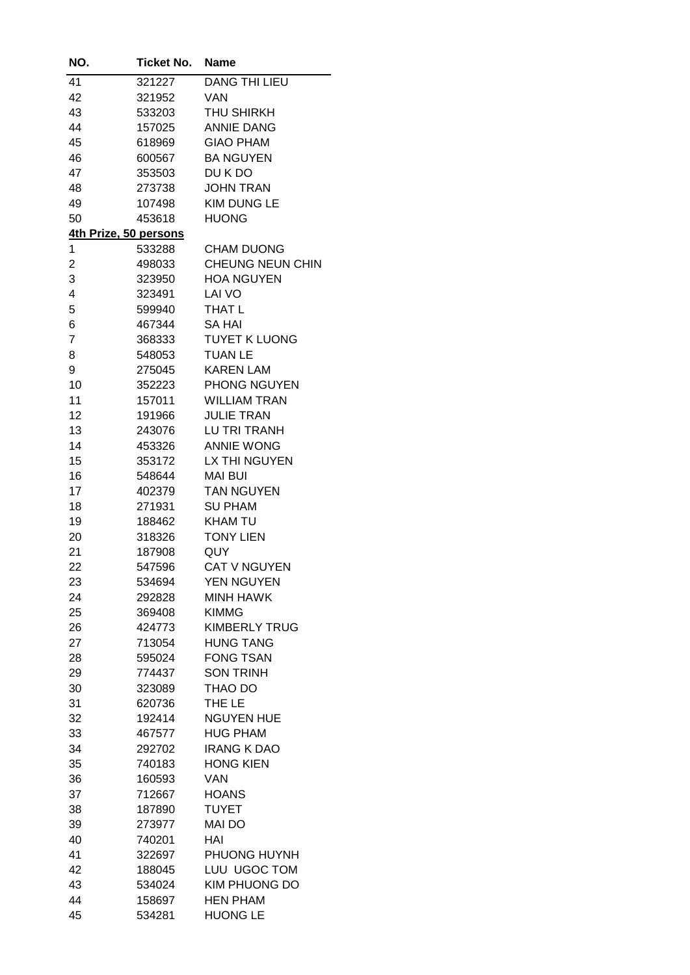| NO.                   | Ticket No. | <b>Name</b>             |
|-----------------------|------------|-------------------------|
| 41                    | 321227     | <b>DANG THI LIEU</b>    |
| 42                    | 321952     | VAN.                    |
| 43                    | 533203     | THU SHIRKH              |
| 44                    | 157025     | ANNIE DANG              |
| 45                    | 618969     | GIAO PHAM               |
| 46                    | 600567     | <b>BA NGUYEN</b>        |
| 47                    | 353503     | DU K DO                 |
| 48                    | 273738     | JOHN TRAN               |
| 49                    | 107498     | KIM DUNG LE             |
| 50                    | 453618     | <b>HUONG</b>            |
| 4th Prize, 50 persons |            |                         |
| $\mathbf{1}$          | 533288     | <b>CHAM DUONG</b>       |
| 2                     | 498033     | <b>CHEUNG NEUN CHIN</b> |
| 3                     | 323950     | <b>HOA NGUYEN</b>       |
| 4                     | 323491     | LAI VO                  |
| 5                     | 599940     | THAT L                  |
| 6                     | 467344     | <b>SA HAI</b>           |
| 7                     | 368333     | <b>TUYET K LUONG</b>    |
| 8                     | 548053     | <b>TUAN LE</b>          |
| 9                     |            | 275045 KAREN LAM        |
| 10                    | 352223     | <b>PHONG NGUYEN</b>     |
| 11                    | 157011     | WILLIAM TRAN            |
| 12                    | 191966     | <b>JULIE TRAN</b>       |
| 13                    | 243076     | LU TRI TRANH            |
| 14                    | 453326     | ANNIE WONG              |
| 15                    | 353172     | LX THI NGUYEN           |
| 16                    | 548644     | MAI BUI                 |
| 17                    | 402379     | <b>TAN NGUYEN</b>       |
| 18                    | 271931     | <b>SU PHAM</b>          |
| 19                    | 188462     | KHAM TU                 |
| 20                    | 318326     | <b>TONY LIEN</b>        |
| 21                    | 187908     | QUY                     |
| 22                    | 547596     | <b>CAT V NGUYEN</b>     |
| 23                    | 534694     | YEN NGUYEN              |
| 24                    | 292828     | MINH HAWK               |
| 25                    | 369408     | <b>KIMMG</b>            |
| 26                    | 424773     | <b>KIMBERLY TRUG</b>    |
| 27                    | 713054     | <b>HUNG TANG</b>        |
| 28                    | 595024     | <b>FONG TSAN</b>        |
| 29                    | 774437     | <b>SON TRINH</b>        |
| 30                    | 323089     | THAO DO                 |
| 31                    | 620736     | THE LE                  |
| 32                    | 192414     | <b>NGUYEN HUE</b>       |
| 33                    | 467577     | <b>HUG PHAM</b>         |
| 34                    | 292702     | <b>IRANG K DAO</b>      |
| 35                    | 740183     | <b>HONG KIEN</b>        |
| 36                    | 160593     | <b>VAN</b>              |
| 37                    | 712667     | <b>HOANS</b>            |
| 38                    | 187890     | <b>TUYET</b>            |
| 39                    | 273977     | <b>MAI DO</b>           |
| 40                    | 740201     | HAI                     |
| 41                    | 322697     | PHUONG HUYNH            |
| 42                    | 188045     | LUU UGOC TOM            |
| 43                    | 534024     | KIM PHUONG DO           |
| 44                    | 158697     | <b>HEN PHAM</b>         |
| 45                    | 534281     | <b>HUONG LE</b>         |
|                       |            |                         |